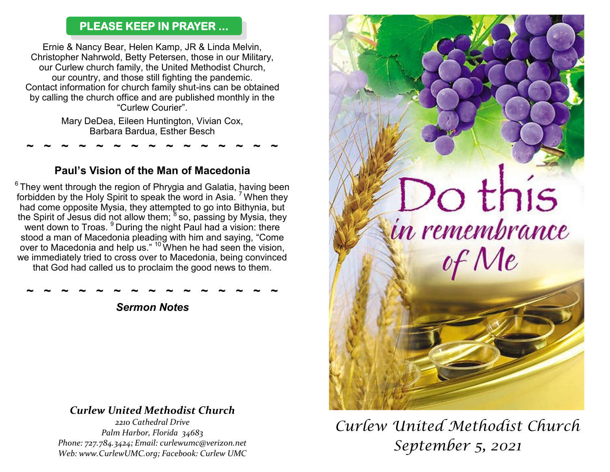#### **PLEASE KEEP IN PRAYER ...**

Ernie & Nancy Bear, Helen Kamp, JR & Linda Melvin, Christopher Nahrwold, Betty Petersen, those in our Military, our Curlew church family, the United Methodist Church, our country, and those still fighting the pandemic. Contact information for church family shut-ins can be obtained by calling the church office and are published monthly in the "Curlew Courier".

Mary DeDea, Eileen Huntington, Vivian Cox, Barbara Bardua, Esther Besch

### **Paul's Vision of the Man of Macedonia**

**~ ~ ~ ~ ~ ~ ~ ~ ~ ~ ~ ~ ~ ~ ~** 

 $6$  They went through the region of Phrygia and Galatia, having been forbidden by the Holy Spirit to speak the word in Asia.  $<sup>7</sup>$  When they</sup> had come opposite Mysia, they attempted to go into Bithynia, but the Spirit of Jesus did not allow them;  $8$  so, passing by Mysia, they went down to Troas. <sup>9</sup> During the night Paul had a vision: there stood a man of Macedonia pleading with him and saying, "Come over to Macedonia and help us." <sup>10</sup> When he had seen the vision, we immediately tried to cross over to Macedonia, being convinced that God had called us to proclaim the good news to them.

**~ ~ ~ ~ ~ ~ ~ ~ ~ ~ ~ ~ ~ ~ ~**  *Sermon Notes*

# *Curlew United Methodist Church*

*2210 Cathedral Drive Palm Harbor, Florida 34683 Phone: 727.784.3424; Email: curlewumc@verizon.net Web: www.CurlewUMC.org; Facebook: Curlew UMC*



# *Curlew United Methodist Church September 5, 2021*